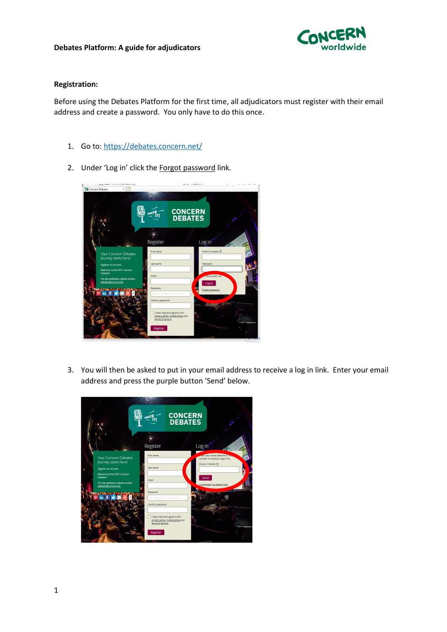

## **Registration:**

Before using the Debates Platform for the first time, all adjudicators must register with their email address and create a password. You only have to do this once.

- 1. Go to:<https://debates.concern.net/>
- 2. Under 'Log in' click the Forgot password link.



3. You will then be asked to put in your email address to receive a log in link. Enter your email address and press the purple button 'Send' below.

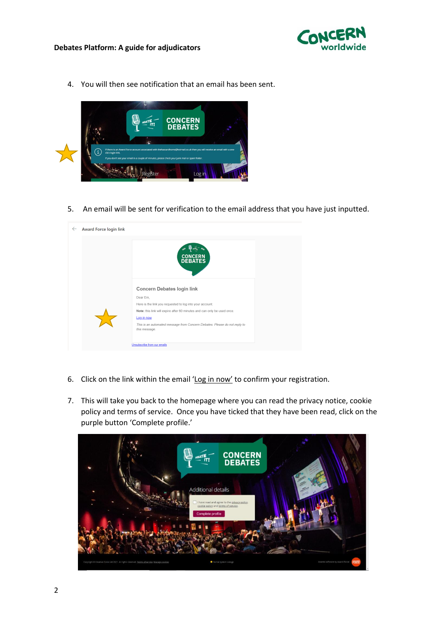

4. You will then see notification that an email has been sent.



5. An email will be sent for verification to the email address that you have just inputted.



- 6. Click on the link within the email 'Log in now' to confirm your registration.
- 7. This will take you back to the homepage where you can read the privacy notice, cookie policy and terms of service. Once you have ticked that they have been read, click on the purple button 'Complete profile.'

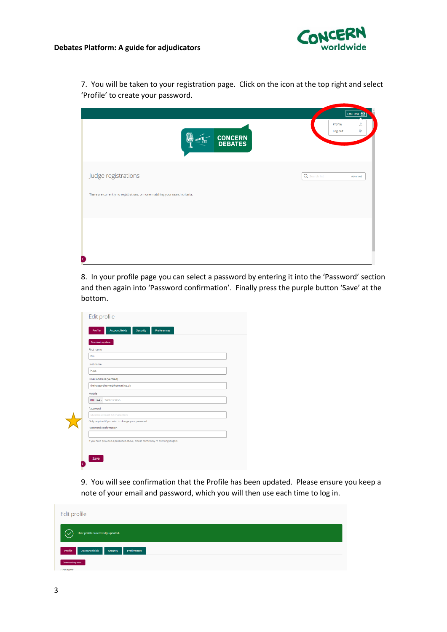

7. You will be taken to your registration page. Click on the icon at the top right and select 'Profile' to create your password.

|                                                                                                     |                    | Em Hass $\bigodot$ |
|-----------------------------------------------------------------------------------------------------|--------------------|--------------------|
| ã<br>HOATE TI<br><b>CONCERN<br/>DEBATES</b>                                                         | Profile<br>Log out | ≗<br>Ф             |
| Judge registrations<br>There are currently no registrations, or none matching your search criteria. | Q Search list      | Advanced           |
| D                                                                                                   |                    |                    |

8. In your profile page you can select a password by entering it into the 'Password' section and then again into 'Password confirmation'. Finally press the purple button 'Save' at the bottom.

|                          | <b>Account fields</b>                                                          | Security | Preferences |  |  |
|--------------------------|--------------------------------------------------------------------------------|----------|-------------|--|--|
| Download my data         |                                                                                |          |             |  |  |
| First name               |                                                                                |          |             |  |  |
| Em                       |                                                                                |          |             |  |  |
| Last name                |                                                                                |          |             |  |  |
| Hass                     |                                                                                |          |             |  |  |
| Email address (Verified) |                                                                                |          |             |  |  |
|                          | thehassardhome@hotmail.co.uk                                                   |          |             |  |  |
| Mobile                   |                                                                                |          |             |  |  |
|                          | ■ +44 + 7400 123456                                                            |          |             |  |  |
| Password                 |                                                                                |          |             |  |  |
|                          | Must be at least 12 characters                                                 |          |             |  |  |
|                          | Only required if you wish to change your password.                             |          |             |  |  |
| Password confirmation    |                                                                                |          |             |  |  |
|                          |                                                                                |          |             |  |  |
|                          | If you have provided a password above, please confirm by re-entering it again. |          |             |  |  |

9. You will see confirmation that the Profile has been updated. Please ensure you keep a note of your email and password, which you will then use each time to log in.

| Edit profile                                                |
|-------------------------------------------------------------|
| User profile successfully updated.<br>$\checkmark$          |
| <b>Account fields</b><br>Profile<br>Preferences<br>Security |
| Download my data<br>First name                              |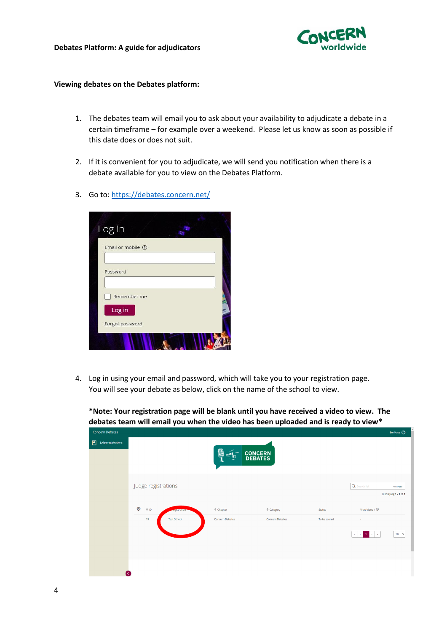

## **Viewing debates on the Debates platform:**

- 1. The debates team will email you to ask about your availability to adjudicate a debate in a certain timeframe – for example over a weekend. Please let us know as soon as possible if this date does or does not suit.
- 2. If it is convenient for you to adjudicate, we will send you notification when there is a debate available for you to view on the Debates Platform.
- 3. Go to[: https://debates.concern.net/](https://concern.awardsplatform.com/)

| Log in                    |  |
|---------------------------|--|
| Email or mobile 2         |  |
| Password                  |  |
| Remember me               |  |
| Log in<br>Forgot password |  |
|                           |  |

4. Log in using your email and password, which will take you to your registration page. You will see your debate as below, click on the name of the school to view.

Em Hass  $\bigodot$ **H** Judge registrations **CONCERN**<br>**DEBATES** Judge registrations  $\overline{\Omega}$ Advanced Displaying 1 - 1 of 1 View Video 1  $\circledcirc$ දයි  $\triangle$  Chapter  $\triangle$  Category Concern Debates Concern Debates To be scored  $\begin{tabular}{|c|c|c|c|c|c|c|c|c|} \hline $\epsilon$ & $\epsilon$ & $\mathbf{1}$ & $\rightarrow$ & $\mathbf{3}$ \\ \hline \end{tabular}$  $\boxed{10 - x}$ 

**\*Note: Your registration page will be blank until you have received a video to view. The debates team will email you when the video has been uploaded and is ready to view\***